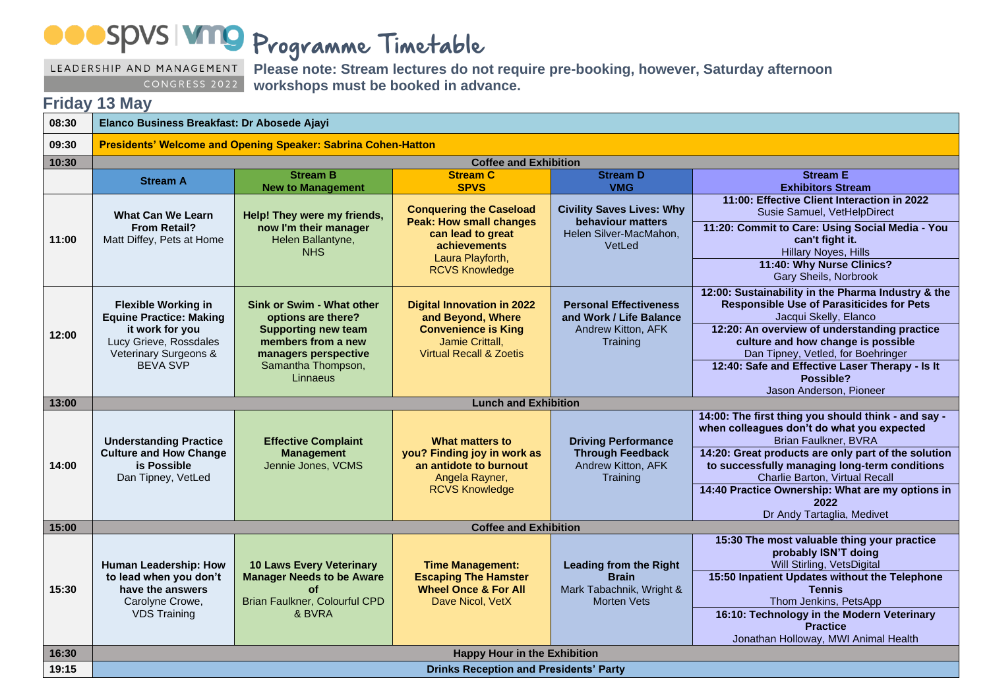Programme Timetable

LEADERSHIP AND MANAGEMENT CONGRESS 2022

**Please note: Stream lectures do not require pre-booking, however, Saturday afternoon workshops must be booked in advance.**

## **Friday 13 May**

| 08:30 | Elanco Business Breakfast: Dr Abosede Ajayi                                                                                                           |                                                                                                                                                               |                                                                                                                                                           |                                                                                                 |                                                                                                                                                                                                                                                                                                                             |  |  |  |
|-------|-------------------------------------------------------------------------------------------------------------------------------------------------------|---------------------------------------------------------------------------------------------------------------------------------------------------------------|-----------------------------------------------------------------------------------------------------------------------------------------------------------|-------------------------------------------------------------------------------------------------|-----------------------------------------------------------------------------------------------------------------------------------------------------------------------------------------------------------------------------------------------------------------------------------------------------------------------------|--|--|--|
| 09:30 | Presidents' Welcome and Opening Speaker: Sabrina Cohen-Hatton                                                                                         |                                                                                                                                                               |                                                                                                                                                           |                                                                                                 |                                                                                                                                                                                                                                                                                                                             |  |  |  |
| 10:30 | <b>Coffee and Exhibition</b>                                                                                                                          |                                                                                                                                                               |                                                                                                                                                           |                                                                                                 |                                                                                                                                                                                                                                                                                                                             |  |  |  |
|       | <b>Stream A</b>                                                                                                                                       | <b>Stream B</b><br><b>New to Management</b>                                                                                                                   | <b>Stream C</b><br><b>SPVS</b>                                                                                                                            | <b>Stream D</b><br><b>VMG</b>                                                                   | <b>Stream E</b><br><b>Exhibitors Stream</b>                                                                                                                                                                                                                                                                                 |  |  |  |
| 11:00 | <b>What Can We Learn</b><br><b>From Retail?</b><br>Matt Diffey, Pets at Home                                                                          | Help! They were my friends,<br>now I'm their manager<br>Helen Ballantyne,<br><b>NHS</b>                                                                       | <b>Conquering the Caseload</b><br><b>Peak: How small changes</b><br>can lead to great<br><b>achievements</b><br>Laura Playforth,<br><b>RCVS Knowledge</b> | <b>Civility Saves Lives: Why</b><br>behaviour matters<br>Helen Silver-MacMahon,<br>VetLed       | 11:00: Effective Client Interaction in 2022<br>Susie Samuel, VetHelpDirect<br>11:20: Commit to Care: Using Social Media - You<br>can't fight it.<br><b>Hillary Noyes, Hills</b><br>11:40: Why Nurse Clinics?<br>Gary Sheils, Norbrook                                                                                       |  |  |  |
| 12:00 | <b>Flexible Working in</b><br><b>Equine Practice: Making</b><br>it work for you<br>Lucy Grieve, Rossdales<br>Veterinary Surgeons &<br><b>BEVA SVP</b> | Sink or Swim - What other<br>options are there?<br><b>Supporting new team</b><br>members from a new<br>managers perspective<br>Samantha Thompson,<br>Linnaeus | <b>Digital Innovation in 2022</b><br>and Beyond, Where<br><b>Convenience is King</b><br>Jamie Crittall,<br><b>Virtual Recall &amp; Zoetis</b>             | <b>Personal Effectiveness</b><br>and Work / Life Balance<br>Andrew Kitton, AFK<br>Training      | 12:00: Sustainability in the Pharma Industry & the<br><b>Responsible Use of Parasiticides for Pets</b><br>Jacqui Skelly, Elanco<br>12:20: An overview of understanding practice<br>culture and how change is possible<br>Dan Tipney, Vetled, for Boehringer<br>12:40: Safe and Effective Laser Therapy - Is It<br>Possible? |  |  |  |
| 13:00 | Jason Anderson, Pioneer<br><b>Lunch and Exhibition</b>                                                                                                |                                                                                                                                                               |                                                                                                                                                           |                                                                                                 |                                                                                                                                                                                                                                                                                                                             |  |  |  |
| 14:00 | <b>Understanding Practice</b><br><b>Culture and How Change</b><br>is Possible<br>Dan Tipney, VetLed                                                   | <b>Effective Complaint</b><br><b>Management</b><br>Jennie Jones, VCMS                                                                                         | What matters to<br>you? Finding joy in work as<br>an antidote to burnout<br>Angela Rayner,<br><b>RCVS Knowledge</b>                                       | <b>Driving Performance</b><br><b>Through Feedback</b><br>Andrew Kitton, AFK<br>Training         | 14:00: The first thing you should think - and say -<br>when colleagues don't do what you expected<br>Brian Faulkner, BVRA<br>14:20: Great products are only part of the solution<br>to successfully managing long-term conditions                                                                                           |  |  |  |
|       |                                                                                                                                                       |                                                                                                                                                               |                                                                                                                                                           |                                                                                                 | Charlie Barton, Virtual Recall<br>14:40 Practice Ownership: What are my options in<br>2022<br>Dr Andy Tartaglia, Medivet                                                                                                                                                                                                    |  |  |  |
| 15:00 | <b>Coffee and Exhibition</b>                                                                                                                          |                                                                                                                                                               |                                                                                                                                                           |                                                                                                 |                                                                                                                                                                                                                                                                                                                             |  |  |  |
| 15:30 | <b>Human Leadership: How</b><br>to lead when you don't<br>have the answers<br>Carolyne Crowe,<br><b>VDS Training</b>                                  | <b>10 Laws Every Veterinary</b><br><b>Manager Needs to be Aware</b><br>οf<br>Brian Faulkner, Colourful CPD<br>& BVRA                                          | <b>Time Management:</b><br><b>Escaping The Hamster</b><br><b>Wheel Once &amp; For All</b><br>Dave Nicol, VetX                                             | <b>Leading from the Right</b><br><b>Brain</b><br>Mark Tabachnik, Wright &<br><b>Morten Vets</b> | 15:30 The most valuable thing your practice<br>probably ISN'T doing<br>Will Stirling, VetsDigital<br>15:50 Inpatient Updates without the Telephone<br><b>Tennis</b><br>Thom Jenkins, PetsApp<br>16:10: Technology in the Modern Veterinary<br><b>Practice</b>                                                               |  |  |  |
|       |                                                                                                                                                       |                                                                                                                                                               |                                                                                                                                                           |                                                                                                 | Jonathan Holloway, MWI Animal Health                                                                                                                                                                                                                                                                                        |  |  |  |
| 16:30 | <b>Happy Hour in the Exhibition</b>                                                                                                                   |                                                                                                                                                               |                                                                                                                                                           |                                                                                                 |                                                                                                                                                                                                                                                                                                                             |  |  |  |
| 19:15 | <b>Drinks Reception and Presidents' Party</b>                                                                                                         |                                                                                                                                                               |                                                                                                                                                           |                                                                                                 |                                                                                                                                                                                                                                                                                                                             |  |  |  |